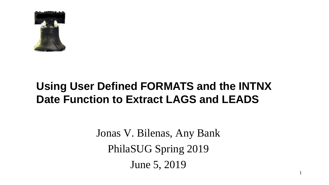

# **Using User Defined FORMATS and the INTNX Date Function to Extract LAGS and LEADS**

Jonas V. Bilenas, Any Bank PhilaSUG Spring 2019 June 5, 2019

1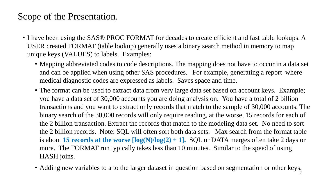### Scope of the Presentation.

- I have been using the SAS® PROC FORMAT for decades to create efficient and fast table lookups. A USER created FORMAT (table lookup) generally uses a binary search method in memory to map unique keys (VALUES) to labels. Examples:
	- Mapping abbreviated codes to code descriptions. The mapping does not have to occur in a data set and can be applied when using other SAS procedures. For example, generating a report where medical diagnostic codes are expressed as labels. Saves space and time.
	- The format can be used to extract data from very large data set based on account keys. Example; you have a data set of 30,000 accounts you are doing analysis on. You have a total of 2 billion transactions and you want to extract only records that match to the sample of 30,000 accounts. The binary search of the 30,000 records will only require reading, at the worse, 15 records for each of the 2 billion transaction. Extract the records that match to the modeling data set. No need to sort the 2 billion records. Note: SQL will often sort both data sets. Max search from the format table is about **15 records at the worse [log(N)/log(2) + 1].** SQL or DATA merges often take 2 days or more. The FORMAT run typically takes less than 10 minutes. Similar to the speed of using HASH joins.
	- Adding new variables to a to the larger dataset in question based on segmentation or other keys.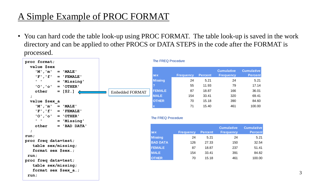## A Simple Example of PROC FORMAT

• You can hard code the table look-up using PROC FORMAT. The table look-up is saved in the work directory and can be applied to other PROCS or DATA STEPS in the code after the FORMAT is processed.



#### The FREQ Procedure

| <b>sex</b>     | <b>Frequency</b> | <b>Percent</b> | <b>Cumulative</b><br><b>Frequency</b> | <b>Cumulative</b><br><b>Percent</b> |
|----------------|------------------|----------------|---------------------------------------|-------------------------------------|
| <b>Missing</b> | 24               | 5.21           | 24                                    | 5.21                                |
| ?              | 55               | 11.93          | 79                                    | 17.14                               |
| <b>FEMALE</b>  | 87               | 18.87          | 166                                   | 36.01                               |
| <b>MALE</b>    | 154              | 33.41          | 320                                   | 69.41                               |
| <b>OTHER</b>   | 70               | 15.18          | 390                                   | 84.60                               |
|                | 71               | 15.40          | 461                                   | 100.00                              |

#### The FREQ Procedure

|                 |                  |                | <b>Cumulative</b> | <b>Cumulative</b> |
|-----------------|------------------|----------------|-------------------|-------------------|
| <b>sex</b>      | <b>Frequency</b> | <b>Percent</b> | <b>Frequency</b>  | <b>Percent</b>    |
| Missing         | 24               | 5.21           | 24                | 5.21              |
| <b>BAD DATA</b> | 126              | 27.33          | 150               | 32.54             |
| <b>FEMALE</b>   | 87               | 18.87          | 237               | 51.41             |
| <b>MALE</b>     | 154              | 33.41          | 391               | 84.82             |
| <b>OTHER</b>    | 70               | 15.18          | 461               | 100.00            |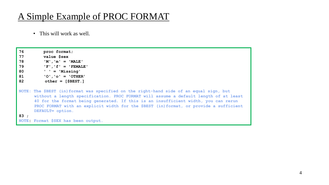### A Simple Example of PROC FORMAT

• This will work as well.

- **76 proc format;**
- **77 value \$sex**
- **78 'M','m' = 'MALE'**
- **79 'F','f' = 'FEMALE'**
- **80 ' ' = 'Missing'**
- **81 'O','o' = 'OTHER'**
- **82 other = [\$BEST.]**

**NOTE: The \$BEST (in)format was specified on the right-hand side of an equal sign, but without a length specification. PROC FORMAT will assume a default length of at least 40 for the format being generated. If this is an insufficient width, you can rerun PROC FORMAT with an explicit width for the \$BEST (in)format, or provide a sufficient DEFAULT= option.**

**83 ;**

**NOTE: Format \$SEX has been output.**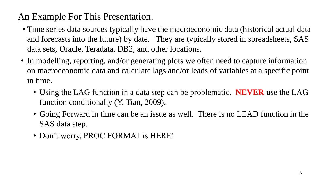## An Example For This Presentation.

- Time series data sources typically have the macroeconomic data (historical actual data and forecasts into the future) by date. They are typically stored in spreadsheets, SAS data sets, Oracle, Teradata, DB2, and other locations.
- In modelling, reporting, and/or generating plots we often need to capture information on macroeconomic data and calculate lags and/or leads of variables at a specific point in time.
	- Using the LAG function in a data step can be problematic. **NEVER** use the LAG function conditionally (Y. Tian, 2009).
	- Going Forward in time can be an issue as well. There is no LEAD function in the SAS data step.
	- Don't worry, PROC FORMAT is HERE!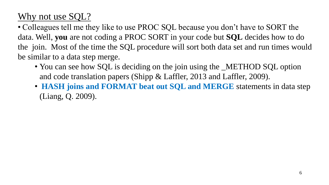## Why not use SQL?

• Colleagues tell me they like to use PROC SQL because you don't have to SORT the data. Well, **you** are not coding a PROC SORT in your code but **SQL** decides how to do the join. Most of the time the SQL procedure will sort both data set and run times would be similar to a data step merge.

- You can see how SQL is deciding on the join using the \_METHOD SQL option and code translation papers (Shipp & Laffler, 2013 and Laffler, 2009).
- **HASH joins and FORMAT beat out SQL and MERGE** statements in data step (Liang, Q. 2009).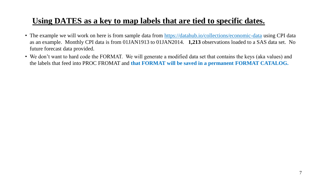#### **Using DATES as a key to map labels that are tied to specific dates.**

- The example we will work on here is from sample data from <https://datahub.io/collections/economic-data> using CPI data as an example. Monthly CPI data is from 01JAN1913 to 01JAN2014. **1,213** observations loaded to a SAS data set. No future forecast data provided.
- We don't want to hard code the FORMAT. We will generate a modified data set that contains the keys (aka values) and the labels that feed into PROC FROMAT and **that FORMAT will be saved in a permanent FORMAT CATALOG.**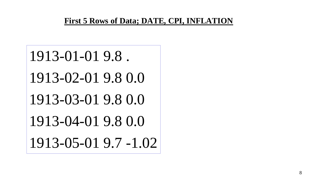#### **First 5 Rows of Data; DATE, CPI, INFLATION**

1913-01-01 9.8 . 1913-02-01 9.8 0.0 1913-03-01 9.8 0.0 1913-04-01 9.8 0.0 1913-05-01 9.7 -1.02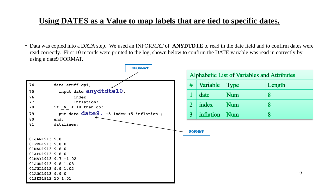#### **Using DATES as a Value to map labels that are tied to specific dates.**

• Data was copied into a DATA step. We used an INFORMAT of **ANYDTDTE** to read in the date field and to confirm dates were read correctly. First 10 records were printed to the log, shown below to confirm the DATE variable was read in correctly by using a date9 FORMAT.

|                                                     | <b>INFORMAT</b> |                |               |                                             |        |   |
|-----------------------------------------------------|-----------------|----------------|---------------|---------------------------------------------|--------|---|
|                                                     |                 |                |               | Alphabetic List of Variables and Attributes |        |   |
| 74<br>data stuff.cpi;                               |                 | #              | Variable      | <b>Type</b>                                 | Length |   |
| input date anydtdte10.<br>75<br>76<br>index         |                 | 1              | date          | Num                                         | 8      |   |
| 77<br>Inflation;<br>78<br>if $N < 10$ then do;      |                 | $2\,$          | index         | Num                                         | 8      |   |
| put date date9. +5 index +5 inflation ;<br>79<br>80 |                 | 3 <sup>1</sup> | inflation     | Num                                         | 8      |   |
| end;<br>81<br>datalines;                            |                 |                |               |                                             |        |   |
| 01JAN1913 9.8 .                                     |                 |                | <b>FORMAT</b> |                                             |        |   |
| 01FEB1913 9.8 0                                     |                 |                |               |                                             |        |   |
| 01MAR1913 9.8 0                                     |                 |                |               |                                             |        |   |
| 01APR1913 9.8 0                                     |                 |                |               |                                             |        |   |
| $01$ MAY1913 9.7 -1.02                              |                 |                |               |                                             |        |   |
| 01JUN1913 9.8 1.03                                  |                 |                |               |                                             |        |   |
| 01JUL1913 9.9 1.02<br>01AUG1913 9.9 0               |                 |                |               |                                             |        | 9 |
| 01SEP1913 10 1.01                                   |                 |                |               |                                             |        |   |
|                                                     |                 |                |               |                                             |        |   |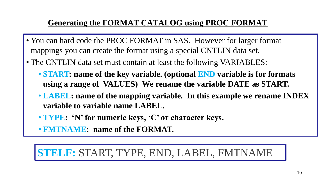### **Generating the FORMAT CATALOG using PROC FORMAT**

- You can hard code the PROC FORMAT in SAS. However for larger format mappings you can create the format using a special CNTLIN data set.
- The CNTLIN data set must contain at least the following VARIABLES:
	- **START: name of the key variable. (optional END variable is for formats using a range of VALUES) We rename the variable DATE as START.**
	- **LABEL: name of the mapping variable. In this example we rename INDEX variable to variable name LABEL.**
	- **TYPE: 'N' for numeric keys, 'C' or character keys.**
	- **FMTNAME: name of the FORMAT.**

# **STELF:** START, TYPE, END, LABEL, FMTNAME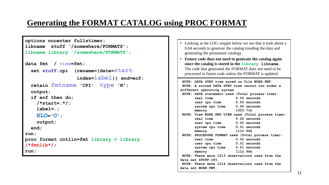#### **Generating the FORMAT CATALOG using PROC FORMAT**

```
options nocenter fullstimer;
libname stuff '/somewhere/FORMATS';
libname library '/somewhere/FORMATS';
data fmt / view=fmt;
  set stuff.cpi (rename=(date=start
                      index=label)) end=eof;
  retain fmtname 'CPI' type 'N';
  output;
  if eof then do;
     /*start=.*/;
     label=.;
     HLO='O';
     output;
  end;
run;
proc format cntlin=fmt library = library 
/*fmtlib*/;
run;
                                                                    NOTE: DATA STEP view saved on file WORK.FMT.
                                                                    NOTE: A stored DATA STEP view cannot run under a 
                                                                   different operating system.
                                                                    NOTE: DATA statement used (Total process time):
                                                                         real time 0.00 seconds
                                                                         user cpu time 0.00 seconds
                                                                         system cpu time 0.00 seconds
                                                                         memory 1053.71k
                                                                    NOTE: View WORK.FMT.VIEW used (Total process time):
                                                                         real time 0.02 seconds
                                                                         user cpu time 0.00 seconds
                                                                         system cpu time 0.01 seconds
                                                                         memory 1112.96k
                                                                    NOTE: PROCEDURE FORMAT used (Total process time):
                                                                         real time 0.02 seconds
                                                                         user cpu time 0.01 seconds
                                                                         system cpu time 0.01 seconds
                                                                         memory 1112.96k
                                                                    NOTE: There were 1213 observations read from the 
                                                                   data set STUFF.CPI.
                                                                   • Looking at the LOG snippet below we see that it took about a 
                                                                     0.04 seconds to generate the catalog (reading the data and 
                                                                     generating the permanent catalog).
                                                                   • Future code does not need to generate the catalog again 
                                                                     since the catalog is stored in the library libname.
                                                                     The code that generated the FORMAT does not need to be 
                                                                     processed in future code unless the FORMAT is updated.
```
**NOTE: There were 1214 observations read from the data set WORK.FMT.**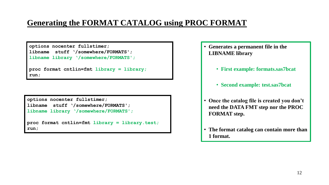#### **Generating the FORMAT CATALOG using PROC FORMAT**

**options nocenter fullstimer;**

**libname stuff '/somewhere/FORMATS'; libname library '/somewhere/FORMATS';**

```
proc format cntlin=fmt library = library;
run;
```
**options nocenter fullstimer; libname stuff '/somewhere/FORMATS';**

**libname library '/somewhere/FORMATS';**

**proc format cntlin=fmt library = library.test; run;**

• **Generates a permanent file in the LIBNAME library**

- **First example: formats.sas7bcat**
- **Second example: test.sas7bcat**
- **Once the catalog file is created you don't need the DATA FMT step nor the PROC FORMAT step.**
- **The format catalog can contain more than 1 format.**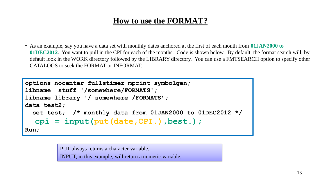#### **How to use the FORMAT?**

• As an example, say you have a data set with monthly dates anchored at the first of each month from **01JAN2000 to 01DEC2012**. You want to pull in the CPI for each of the months. Code is shown below. By default, the format search will, by default look in the WORK directory followed by the LIBRARY directory. You can use a FMTSEARCH option to specify other CATALOGS to seek the FORMAT or INFORMAT.

```
options nocenter fullstimer mprint symbolgen;
libname stuff '/somewhere/FORMATS';
libname library '/ somewhere /FORMATS';
data test2;
  set test; /* monthly data from 01JAN2000 to 01DEC2012 */
  cpi = input(put(date,CPI.),best.);
Run;
```
PUT always returns a character variable. INPUT, in this example, will return a numeric variable.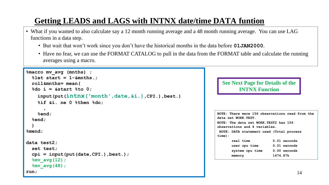### **Getting LEADS and LAGS with INTNX date/time DATA funtion**

- What if you wanted to also calculate say a 12 month running average and a 48 month running average. You can use LAG functions in a data step.
	- But wait that won't work since you don't have the historical months in the data before **01JAN2000**.
	- Have no fear, we can use the FORMAT CATALOG to pull in the data from the FORMAT table and calculate the running averages using a macro.

```
%macro mv_avg (mnths) ;
  %let start = 1-&mnths.;
  roll&mnths= mean(
  %do i = &start %to 0;
    input(put(intnx('month',date,&i.),CPI.),best.)
    %if &i. ne 0 %then %do;
      , 
    %end;
  %end;
  )
%mend;
data test2;
  set test;
  cpi = input(put(date,CPI.),best.);
  %mv_avg(12);
  %mv_avg(48);
run;
```
#### **See Next Page for Details of the INTNX Function**

| <b>NOTE: There were 156 observations read from the</b><br>data set WORK.TEST. |                |
|-------------------------------------------------------------------------------|----------------|
| NOTE: The data set WORK.TEST2 has 156<br>observations and 4 variables.        |                |
| NOTE: DATA statement used (Total process                                      |                |
| time):                                                                        |                |
| real time                                                                     | $0.01$ seconds |
| user cpu time                                                                 | $0.01$ seconds |
| system cpu time 0.00 seconds                                                  |                |
| memory                                                                        | 1674.87k       |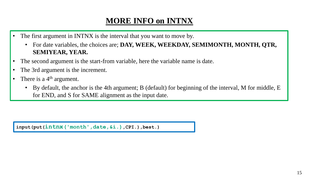#### **MORE INFO on INTNX**

- The first argument in INTNX is the interval that you want to move by.
	- For date variables, the choices are; **DAY, WEEK, WEEKDAY, SEMIMONTH, MONTH, QTR, SEMIYEAR, YEAR.**
- The second argument is the start-from variable, here the variable name is date.
- The 3rd argument is the increment.
- There is a  $4<sup>th</sup>$  argument.
	- By default, the anchor is the 4th argument; B (default) for beginning of the interval, M for middle, E for END, and S for SAME alignment as the input date.

**input(put(intnx('month',date,&i.),CPI.),best.)**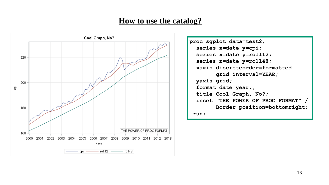#### **How to use the catalog?**



**proc sgplot data=test2; series x=date y=cpi; series x=date y=roll12; series x=date y=roll48; xaxis discreteorder=formatted grid interval=YEAR; yaxis grid; format date year.; title Cool Graph, No?; inset "THE POWER OF PROC FORMAT" / Border position=bottomright; run;**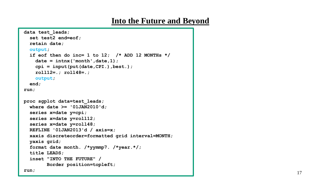#### **Into the Future and Beyond**

```
data test_leads;
  set test2 end=eof;
  retain date;
  output;
  if eof then do inc= 1 to 12; /* ADD 12 MONTHs */
    date = intnx('month',date,1);
    cpi = input(put(date,CPI.),best.); 
    roll12=.; roll48=.;
    output;
  end;
run;
proc sgplot data=test_leads;
  where date >= '01JAN2010'd;
  series x=date y=cpi;
  series x=date y=roll12;
  series x=date y=roll48;
  REFLINE '01JAN2013'd / axis=x;
  xaxis discreteorder=formatted grid interval=MONTH; 
  yaxis grid;
  format date month. /*yymmp7. /*year.*/;
  title LEADS;
  inset "INTO THE FUTURE" / 
        Border position=topleft;
run;
```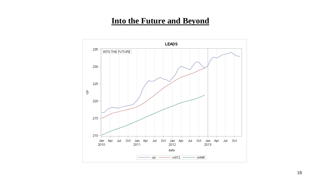#### **Into the Future and Beyond**

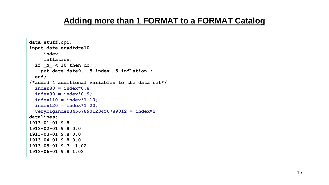```
data stuff.cpi;
input date anydtdte10.
     index 
     inflation;
  if _N_ < 10 then do;
   put date date9. +5 index +5 inflation ;
  end; 
/*added 4 additional variables to the data set*/
  index80 = index*0.8;
  index90 = index*0.9;
  index110 = index*1.10;
  index120 = index*1.20;
  verybigindex34567890123456789012 = index*2;
datalines;
1913-01-01 9.8 .
1913-02-01 9.8 0.0
1913-03-01 9.8 0.0
1913-04-01 9.8 0.0
1913-05-01 9.7 -1.02
1913-06-01 9.8 1.03
```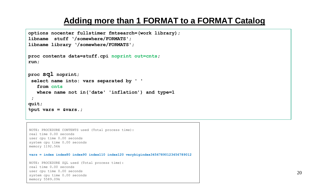```
options nocenter fullstimer fmtsearch=(work library);
libname stuff '/somewhere/FORMATS';
libname library '/somewhere/FORMATS';
proc contents data=stuff.cpi noprint out=cnts;
run;
proc sql noprint;
 select name into: vars separated by ' '
   from cnts
   where name not in('date' 'inflation') and type=1
 ;
quit;
%put vars = &vars.;
```
NOTE: PROCEDURE CONTENTS used (Total process time): real time 0.00 seconds user cpu time 0.00 seconds system cpu time 0.00 seconds memory 1192.56k

**vars = index index80 index90 index110 index120 verybigindex34567890123456789012**

NOTE: PROCEDURE SQL used (Total process time): real time 0.00 seconds user cpu time 0.00 seconds system cpu time 0.00 seconds memory 5589.09k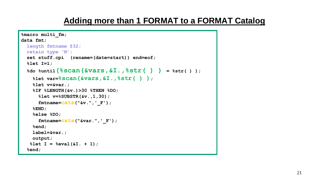```
%macro multi_fm;
data fmt;
 length fmtname $32;
 retain type 'N';
 set stuff.cpi (rename=(date=start)) end=eof;
 %let I=1;
  %do %until(%scan(&vars,&I.,%str( ) ) = %str( ) );
   %let var=%scan(&vars,&I.,%str( ) );
   %let v=&var.; 
   %IF %LENGTH(&v.)>30 %THEN %DO;
     %let v=%SUBSTR(&v.,1,30);
     fmtname=cats("&v.",'_F');
   %END; 
    %else %DO; 
      fmtname=cats("&var.",'_F');
   %end; 
   label=&var.;
   output;
   %let I = %eval(&I. + 1); 
  %end;
```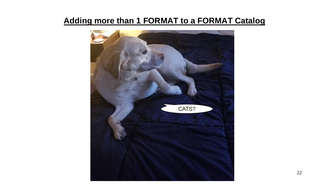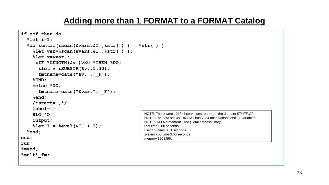```
if eof then do
  %let i=1;
  %do %until(%scan(&vars,&I.,%str( ) ) = %str( ) );
     %let var=%scan(&vars,&I.,%str( ) );
     %let v=&var.; 
      %IF %LENGTH(&v.)>30 %THEN %DO;
       %let v=%SUBSTR(&v.,1,30);
       fmtname=cats("&v.",'_F');
     %END; 
     %else %DO; 
       fmtname=cats("&var.",'_F');
     %end; 
     /*start=.;*/
     label=.;
     HLO='O';
     output;
     %let I = %eval(&I. + 1); 
  %end;
end;
run;
%mend;
%multi_fm;
                                                      NOTE: There were 1213 observations read from the data set STUFF.CPI.
                                                      NOTE: The data set WORK.FMT has 7284 observations and 11 variables.
                                                      NOTE: DATA statement used (Total process time):
                                                      real time 0.00 seconds
                                                      user cpu time 0.01 seconds
                                                      system cpu time 0.00 seconds
                                                      memory 1908.56k
```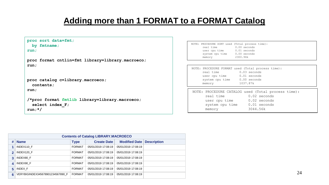```
proc sort data=fmt;
  by fmtname;
run;
proc format cntlin=fmt library=library.macroeco;
run;
proc catalog c=library.macroeco; 
  contents;
run; 
/*proc format fmtlib library=library.macroeco;
  select index_F;
run;*/
                                                                      NOTE: PROCEDURE SORT used (Total process time):
                                                                           real time 0.00 seconds
                                                                           user cpu time 0.01 seconds
                                                                           system cpu time 0.00 seconds
                                                                           memory 2300.96k
                                                                      NOTE: PROCEDURE FORMAT used (Total process time):
                                                                           real time 0.03 seconds
                                                                           user cpu time 0.01 seconds
                                                                           system cpu time 0.00 seconds
                                                                           memory 1037.87k
                                                                       NOTE: PROCEDURE CATALOG used (Total process time):
                                                                            real time 0.02 seconds
                                                                            user cpu time 0.02 seconds
                                                                            system cpu time 0.01 seconds
                                                                            memory 3044.56k
```

| <b>Contents of Catalog LIBRARY.MACROECO</b> |                                  |               |                     |                      |                    |  |  |
|---------------------------------------------|----------------------------------|---------------|---------------------|----------------------|--------------------|--|--|
| # 1                                         | <b>Name</b>                      | <b>Type</b>   | <b>Create Date</b>  | <b>Modified Date</b> | <b>Description</b> |  |  |
|                                             | INDEX110 F                       | <b>FORMAT</b> | 05/01/2019 17:08:19 | 05/01/2019 17:08:19  |                    |  |  |
|                                             | INDEX120 F                       | <b>FORMAT</b> | 05/01/2019 17:08:19 | 05/01/2019 17:08:19  |                    |  |  |
|                                             | INDEX80 F                        | <b>FORMAT</b> | 05/01/2019 17:08:19 | 05/01/2019 17:08:19  |                    |  |  |
| $\blacktriangle$                            | INDEX90 F                        | <b>FORMAT</b> | 05/01/2019 17:08:19 | 05/01/2019 17:08:19  |                    |  |  |
| 5.                                          | INDEX F                          | <b>FORMAT</b> | 05/01/2019 17:08:19 | 05/01/2019 17:08:19  |                    |  |  |
| 6                                           | VERYBIGINDEX345678901234567890 F | <b>FORMAT</b> | 05/01/2019 17:08:19 | 05/01/2019 17:08:19  |                    |  |  |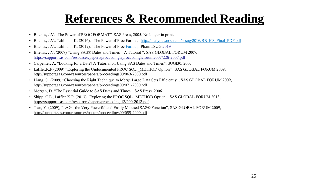# **References & Recommended Reading**

- Bilenas, J.V. "The Power of PROC FORMAT", SAS Press, 2005. No longer in print.
- Bilenas, J.V., Tahiliani, K. (2016). "The Power of Proc Format, [http://analytics.ncsu.edu/sesug/2016/BB-103\\_Final\\_PDF.pdf](http://analytics.ncsu.edu/sesug/2016/BB-103_Final_PDF.pdf)
- Bilenas, J.V., Tahiliani, K. (2019). "The Power of Proc Format, PharmaSUG 2019
- Bilenas, J.V. (2007) "Using SAS® Dates and Times A Tutorial ", SAS GLOBAL FORUM 2007, <https://support.sas.com/resources/papers/proceedings/proceedings/forum2007/226-2007.pdf>
- Carpenter, A. "Looking for a Date? A Tutorial on Using SAS Dates and Times", SUGI30, 2005.
- Laffler, K.P. (2009) "Exploring the Undocumented PROC SQL METHOD Option", SAS GLOBAL FORUM 2009, <http://support.sas.com/resources/papers/proceedings09/063-2009.pdf>
- Liang, Q. (2009) "Choosing the Right Technique to Merge Large Data Sets Efficiently", SAS GLOBAL FORUM 2009, <http://support.sas.com/resources/papers/proceedings09/071-2009.pdf>
- Morgan, D. "The Essential Guide to SAS Dates and Times", SAS Press. 2006
- Shipp, C.E., Laffler K.P. (2013) "Exploring the PROC SQL METHOD Option", SAS GLOBAL FORUM 2013, <https://support.sas.com/resources/papers/proceedings13/200-2013.pdf>
- Tian, Y. (2009), "LAG the Very Powerful and Easily Misused SAS® Function", SAS GLOBAL FORUM 2009, <http://support.sas.com/resources/papers/proceedings09/055-2009.pdf>